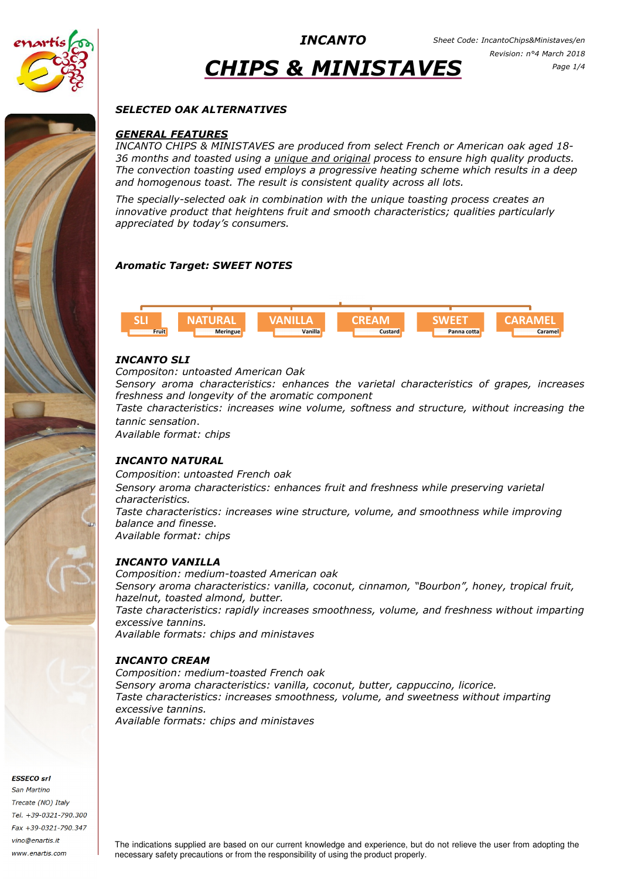

# CHIPS & MINISTAVES

## SELECTED OAK ALTERNATIVES

## GENERAL FEATURES

INCANTO CHIPS & MINISTAVES are produced from select French or American oak aged 18- 36 months and toasted using a unique and original process to ensure high quality products. The convection toasting used employs a progressive heating scheme which results in a deep and homogenous toast. The result is consistent quality across all lots.

The specially-selected oak in combination with the unique toasting process creates an innovative product that heightens fruit and smooth characteristics; qualities particularly appreciated by today's consumers.

## Aromatic Target: SWEET NOTES



## INCANTO SLI

Compositon: untoasted American Oak

Sensory aroma characteristics: enhances the varietal characteristics of grapes, increases freshness and longevity of the aromatic component

Taste characteristics: increases wine volume, softness and structure, without increasing the tannic sensation.

Available format: chips

## INCANTO NATURAL

Composition: untoasted French oak Sensory aroma characteristics: enhances fruit and freshness while preserving varietal characteristics. Taste characteristics: increases wine structure, volume, and smoothness while improving balance and finesse. Available format: chips

## INCANTO VANILLA

Composition: medium-toasted American oak Sensory aroma characteristics: vanilla, coconut, cinnamon, "Bourbon", honey, tropical fruit, hazelnut, toasted almond, butter. Taste characteristics: rapidly increases smoothness, volume, and freshness without imparting excessive tannins. Available formats: chips and ministaves

## INCANTO CREAM

Composition: medium-toasted French oak Sensory aroma characteristics: vanilla, coconut, butter, cappuccino, licorice. Taste characteristics: increases smoothness, volume, and sweetness without imparting excessive tannins. Available formats: chips and ministaves

ESSECO srl

San Martino Trecate (NO) Italy Tel. +39-0321-790.300 Fax +39-0321-790.347 vino@enartis.it www.enartis.com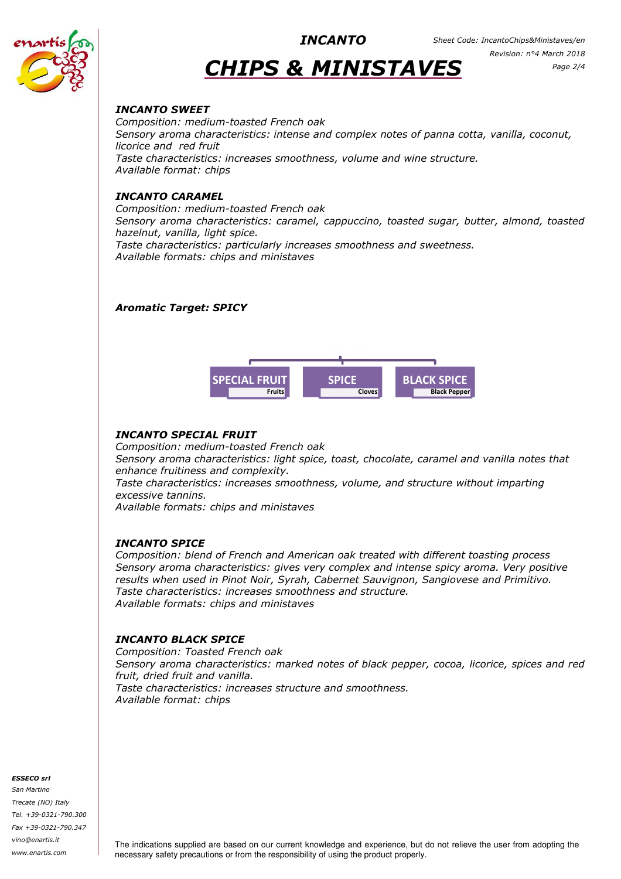

# CHIPS & MINISTAVES

## INCANTO SWEET

Composition: medium-toasted French oak Sensory aroma characteristics: intense and complex notes of panna cotta, vanilla, coconut, licorice and red fruit Taste characteristics: increases smoothness, volume and wine structure. Available format: chips

## INCANTO CARAMEL

Composition: medium-toasted French oak Sensory aroma characteristics: caramel, cappuccino, toasted sugar, butter, almond, toasted hazelnut, vanilla, light spice. Taste characteristics: particularly increases smoothness and sweetness. Available formats: chips and ministaves

## Aromatic Target: SPICY



## INCANTO SPECIAL FRUIT

Composition: medium-toasted French oak Sensory aroma characteristics: light spice, toast, chocolate, caramel and vanilla notes that enhance fruitiness and complexity.

Taste characteristics: increases smoothness, volume, and structure without imparting excessive tannins.

Available formats: chips and ministaves

## INCANTO SPICE

Composition: blend of French and American oak treated with different toasting process Sensory aroma characteristics: gives very complex and intense spicy aroma. Very positive results when used in Pinot Noir, Syrah, Cabernet Sauvignon, Sangiovese and Primitivo. Taste characteristics: increases smoothness and structure. Available formats: chips and ministaves

## INCANTO BLACK SPICE

Composition: Toasted French oak Sensory aroma characteristics: marked notes of black pepper, cocoa, licorice, spices and red fruit, dried fruit and vanilla. Taste characteristics: increases structure and smoothness. Available format: chips

#### ESSECO srl

San Martino Trecate (NO) Italy Tel. +39-0321-790.300 Fax +39-0321-790.347 vino@enartis.it www.enartis.com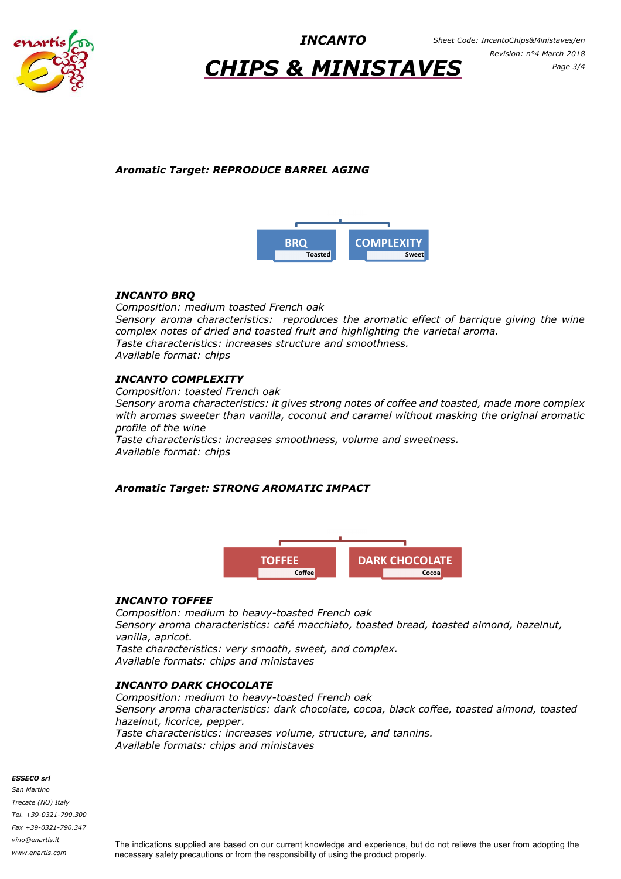

## CHIPS & MINISTAVES

## Aromatic Target: REPRODUCE BARREL AGING



## INCANTO BRQ

Composition: medium toasted French oak Sensory aroma characteristics: reproduces the aromatic effect of barrique giving the wine complex notes of dried and toasted fruit and highlighting the varietal aroma. Taste characteristics: increases structure and smoothness. Available format: chips

## INCANTO COMPLEXITY

Composition: toasted French oak Sensory aroma characteristics: it gives strong notes of coffee and toasted, made more complex with aromas sweeter than vanilla, coconut and caramel without masking the original aromatic profile of the wine Taste characteristics: increases smoothness, volume and sweetness. Available format: chips

## Aromatic Target: STRONG AROMATIC IMPACT



## INCANTO TOFFEE

Composition: medium to heavy-toasted French oak Sensory aroma characteristics: café macchiato, toasted bread, toasted almond, hazelnut, vanilla, apricot. Taste characteristics: very smooth, sweet, and complex.

Available formats: chips and ministaves

## INCANTO DARK CHOCOLATE

Composition: medium to heavy-toasted French oak Sensory aroma characteristics: dark chocolate, cocoa, black coffee, toasted almond, toasted hazelnut, licorice, pepper. Taste characteristics: increases volume, structure, and tannins. Available formats: chips and ministaves

#### ESSECO srl

San Martino Trecate (NO) Italy Tel. +39-0321-790.300 Fax +39-0321-790.347 vino@enartis.it www.enartis.com

The indications supplied are based on our current knowledge and experience, but do not relieve the user from adopting the necessary safety precautions or from the responsibility of using the product properly.